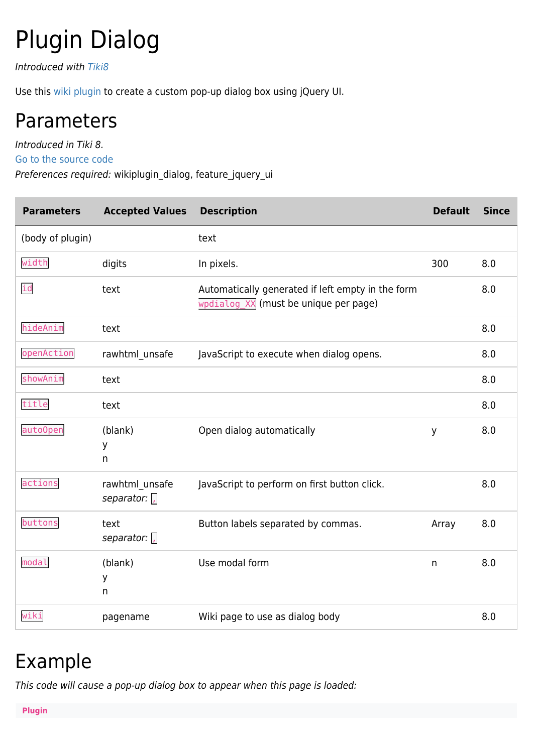# Plugin Dialog

Introduced with [Tiki8](https://doc.tiki.org/Tiki8)

Use this [wiki plugin](https://doc.tiki.org/wiki%20plugin) to create a custom pop-up dialog box using jQuery UI.

### Parameters

Introduced in Tiki 8.

[Go to the source code](https://gitlab.com/tikiwiki/tiki/-/blob/master/lib/wiki-plugins/wikiplugin_dialog.php)

Preferences required: wikiplugin\_dialog, feature\_jquery\_ui

| <b>Parameters</b> | <b>Accepted Values</b>         | <b>Description</b>                                                                                               | <b>Default</b> | <b>Since</b> |
|-------------------|--------------------------------|------------------------------------------------------------------------------------------------------------------|----------------|--------------|
| (body of plugin)  |                                | text                                                                                                             |                |              |
| width             | digits                         | In pixels.                                                                                                       | 300            | 8.0          |
| id                | text                           | Automatically generated if left empty in the form<br>$w$ <sub>w</sub> $w$ <sup>2</sup> (must be unique per page) |                | 8.0          |
| hideAnim          | text                           |                                                                                                                  |                | 8.0          |
| openAction        | rawhtml_unsafe                 | JavaScript to execute when dialog opens.                                                                         |                | 8.0          |
| showAnim          | text                           |                                                                                                                  |                | 8.0          |
| title             | text                           |                                                                                                                  |                | 8.0          |
| auto0pen          | (blank)<br>у<br>$\mathsf{n}$   | Open dialog automatically                                                                                        | y              | 8.0          |
| actions           | rawhtml_unsafe<br>separator: , | JavaScript to perform on first button click.                                                                     |                | 8.0          |
| buttons           | text<br>separator: $\sqrt{ }$  | Button labels separated by commas.                                                                               | Array          | 8.0          |
| modal             | (blank)<br>У<br>$\mathsf{n}$   | Use modal form                                                                                                   | n              | 8.0          |
| wiki              | pagename                       | Wiki page to use as dialog body                                                                                  |                | 8.0          |

#### Example

This code will cause a pop-up dialog box to appear when this page is loaded: